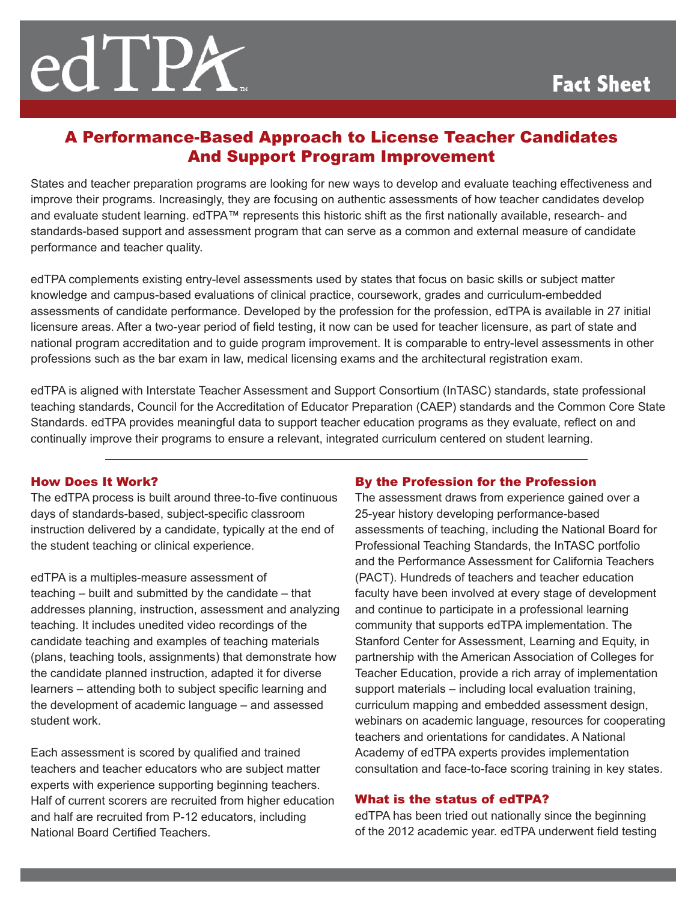# A Performance-Based Approach to License Teacher Candidates And Support Program Improvement

States and teacher preparation programs are looking for new ways to develop and evaluate teaching effectiveness and improve their programs. Increasingly, they are focusing on authentic assessments of how teacher candidates develop and evaluate student learning. edTPA™ represents this historic shift as the first nationally available, research- and standards-based support and assessment program that can serve as a common and external measure of candidate performance and teacher quality.

edTPA complements existing entry-level assessments used by states that focus on basic skills or subject matter knowledge and campus-based evaluations of clinical practice, coursework, grades and curriculum-embedded assessments of candidate performance. Developed by the profession for the profession, edTPA is available in 27 initial licensure areas. After a two-year period of field testing, it now can be used for teacher licensure, as part of state and national program accreditation and to guide program improvement. It is comparable to entry-level assessments in other professions such as the bar exam in law, medical licensing exams and the architectural registration exam.

edTPA is aligned with Interstate Teacher Assessment and Support Consortium (InTASC) standards, state professional teaching standards, Council for the Accreditation of Educator Preparation (CAEP) standards and the Common Core State Standards. edTPA provides meaningful data to support teacher education programs as they evaluate, reflect on and continually improve their programs to ensure a relevant, integrated curriculum centered on student learning.

#### How Does It Work?

The edTPA process is built around three-to-five continuous days of standards-based, subject-specific classroom instruction delivered by a candidate, typically at the end of the student teaching or clinical experience.

edTPA is a multiples-measure assessment of teaching – built and submitted by the candidate – that addresses planning, instruction, assessment and analyzing teaching. It includes unedited video recordings of the candidate teaching and examples of teaching materials (plans, teaching tools, assignments) that demonstrate how the candidate planned instruction, adapted it for diverse learners – attending both to subject specific learning and the development of academic language – and assessed student work.

Each assessment is scored by qualified and trained teachers and teacher educators who are subject matter experts with experience supporting beginning teachers. Half of current scorers are recruited from higher education and half are recruited from P-12 educators, including National Board Certified Teachers.

### By the Profession for the Profession

The assessment draws from experience gained over a 25-year history developing performance-based assessments of teaching, including the National Board for Professional Teaching Standards, the InTASC portfolio and the Performance Assessment for California Teachers (PACT). Hundreds of teachers and teacher education faculty have been involved at every stage of development and continue to participate in a professional learning community that supports edTPA implementation. The Stanford Center for Assessment, Learning and Equity, in partnership with the American Association of Colleges for Teacher Education, provide a rich array of implementation support materials – including local evaluation training, curriculum mapping and embedded assessment design, webinars on academic language, resources for cooperating teachers and orientations for candidates. A National Academy of edTPA experts provides implementation consultation and face-to-face scoring training in key states.

#### What is the status of edTPA?

edTPA has been tried out nationally since the beginning of the 2012 academic year. edTPA underwent field testing